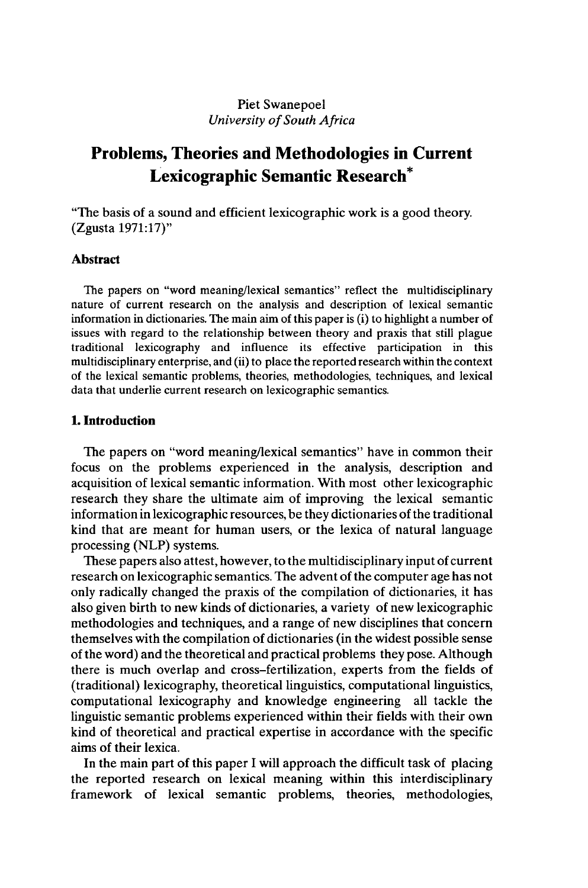### Piet Swanepoel *University ofSouth Africa*

# Problems, Theories and Methodologies in Current Lexicographic Semantic Research\*

"The basis of a sound and efficient lexicographic work is a good theory. (Zgusta 1971:17)"

## **Abstract**

The papers on "word meaning/lexical semantics" reflect the multidisciplinary nature of current research on the analysis and description of lexical semantic information in dictionaries. The main aim of this paper is (i) to highlight a number of issues with regard to the relationship between theory and praxis that still plague traditional lexicography and influence its effective participation in this multidisciplinary enterprise, and (ii) to place the reported research within the context of the lexical semantic problems, theories, methodologies, techniques, and lexical data that underlie current research on lexicographic semantics.

#### **1. Introduction**

The papers on "word meaning/lexical semantics" have in common their focus on the problems experienced in the analysis, description and acquisition of lexical semantic information. With most other lexicographic research they share the ultimate aim of improving the lexical semantic information in lexicographic resources, be they dictionaries of the traditional kind that are meant for human users, or the lexica of natural language processing (NLP) systems.

These papers also attest, however, to the multidisciplinary input of current research on lexicographic semantics. The advent of the computer age has not only radically changed the praxis of the compilation of dictionaries, it has also given birth to new kinds of dictionaries, a variety of new lexicographic methodologies and techniques, and a range of new disciplines that concern themselves with the compilation of dictionaries (in the widest possible sense of the word) and the theoretical and practical problems they pose. Although there is much overlap and cross-fertilization, experts from the fields of (traditional) lexicography, theoretical linguistics, computational linguistics, computational lexicography and knowledge engineering all tackle the linguistic semantic problems experienced within their fields with their own kind of theoretical and practical expertise in accordance with the specific aims of their lexica.

In the main part of this paper I will approach the difficult task of placing the reported research on lexical meaning within this interdisciplinary framework of lexical semantic problems, theories, methodologies,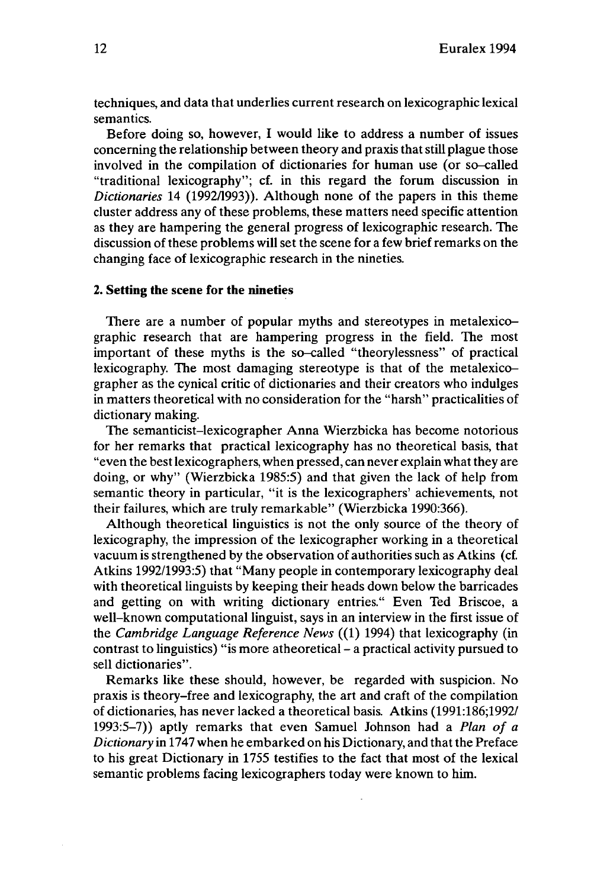techniques, and data that underlies current research on lexicographic lexical semantics.

Before doing so, however, I would like to address a number of issues concerning the relationship between theory and praxis that still plague those involved in the compilation of dictionaries for human use (or so-called "traditional lexicography"; cf. in this regard the forum discussion in *Dictionaries* 14 (1992/1993)). Although none of the papers in this theme cluster address any of these problems, these matters need specific attention as they are hampering the general progress of lexicographic research. The discussion of these problems will set the scene for a few brief remarks on the changing face of lexicographic research in the nineties.

#### **2. Setting the scene for the nineties**

There are a number of popular myths and stereotypes in metalexicographic research that are hampering progress in the field. The most important of these myths is the so-called "theorylessness" of practical lexicography. The most damaging stereotype is that of the metalexicographer as the cynical critic of dictionaries and their creators who indulges in matters theoretical with no consideration for the "harsh" practicalities of dictionary making.

The semanticist-lexicographer Anna Wierzbicka has become notorious for her remarks that practical lexicography has no theoretical basis, that "even the bestlexicographers, when pressed, can never explain whatthey are doing, or why" (Wierzbicka 1985:5) and that given the lack of help from semantic theory in particular, "it is the lexicographers' achievements, not their failures, which are truly remarkable" (Wierzbicka 1990:366).

Although theoretical linguistics is not the only source of the theory of lexicography, the impression of the lexicographer working in a theoretical vacuum is strengthened by the observation of authorities such as Atkins (cf. Atkins 1992/1993:5) that "Many people in contemporary lexicography deal with theoretical linguists by keeping their heads down below the barricades and getting on with writing dictionary entries." Even Ted Briscoe, a well-known computational linguist, says in an interview in the first issue of the *Cambridge Language Reference News* ((1) 1994) that lexicography (in contrast to linguistics) "is more atheoretical - <sup>a</sup> practical activity pursued to sell dictionaries".

Remarks like these should, however, be regarded with suspicion. No praxis is theory-free and lexicography, the art and craft of the compilation of dictionaries, has never lacked a theoretical basis. Atkins (1991:186;1992/ 1993:5-7)) aptly remarks that even Samuel Johnson had a *Plan of a Dictionary* in 1747 when he embarked on his Dictionary, and that the Preface to his great Dictionary in 1755 testifies to the fact that most of the lexical semantic problems facing lexicographers today were known to him.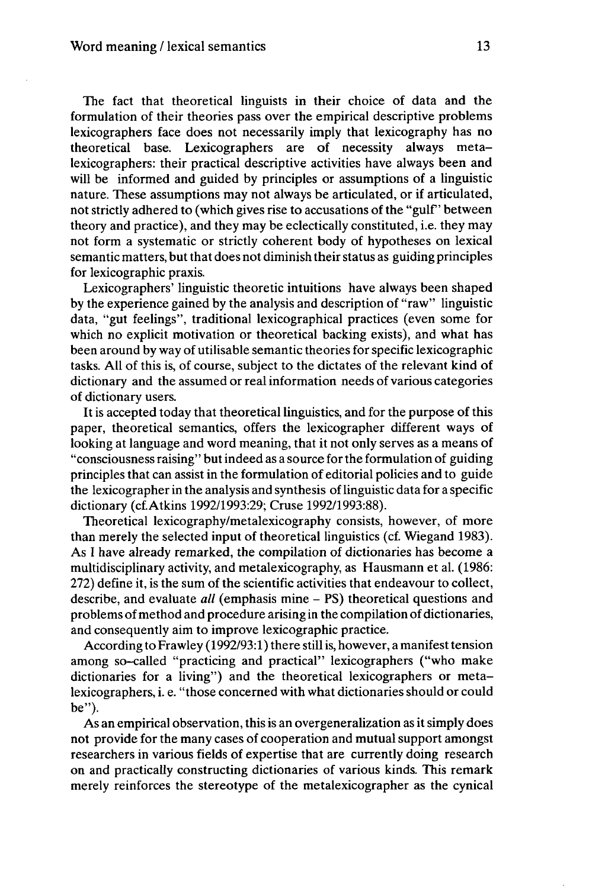The fact that theoretical linguists in their choice of data and the formulation of their theories pass over the empirical descriptive problems lexicographers face does not necessarily imply that lexicography has no theoretical base. Lexicographers are of necessity always metalexicographers: their practical descriptive activities have always been and will be informed and guided by principles or assumptions of a linguistic nature. These assumptions may not always be articulated, or if articulated, not strictly adhered to (which gives rise to accusations of the "gulf" between theory and practice), and they may be eclectically constituted, i.e. they may not form a systematic or strictly coherent body of hypotheses on lexical semantic matters, but that does not diminish their status as guiding principles for lexicographic praxis.

Lexicographers' linguistic theoretic intuitions have always been shaped by the experience gained by the analysis and description of "raw" linguistic data, "gut feelings", traditional lexicographical practices (even some for which no explicit motivation or theoretical backing exists), and what has been around by way of utilisable semantic theories for specific lexicographic tasks. All of this is, of course, subject to the dictates of the relevant kind of dictionary and the assumed or realinformation needs of various categories of dictionary users.

It is accepted today that theoretical linguistics, and for the purpose of this paper, theoretical semantics, offers the lexicographer different ways of looking at language and word meaning, that it not only serves as a means of "consciousnessraising" butindeed as a source forthe formulation of guiding principles that can assist in the formulation of editorial policies and to guide the lexicographer in the analysis and synthesis oflinguistic data for a specific dictionary (cfAtkins 1992/1993:29; Cruse 1992/1993:88).

Theoretical lexicography/metalexicography consists, however, of more than merely the selected input of theoretical linguistics (cf. Wiegand 1983). As I have already remarked, the compilation of dictionaries has become a multidisciplinary activity, and metalexicography, as Hausmann et al. (1986: 272) define it, is the sum of the scientific activities that endeavour to collect, describe, and evaluate *all* (emphasis mine - PS) theoretical questions and problems of method and procedure arising in the compilation of dictionaries, and consequently aim to improve lexicographic practice.

According to Frawley (1992/93:1) there still is, however, a manifest tension among so-called "practicing and practical" lexicographers ("who make dictionaries for a living") and the theoretical lexicographers or metalexicographers, i. e. "those concerned with what dictionaries should or could be").

As an empirical observation, this is an overgeneralization as it simply does not provide for the many cases of cooperation and mutual support amongst researchers in various fields of expertise that are currently doing research on and practically constructing dictionaries of various kinds. This remark merely reinforces the stereotype of the metalexicographer as the cynical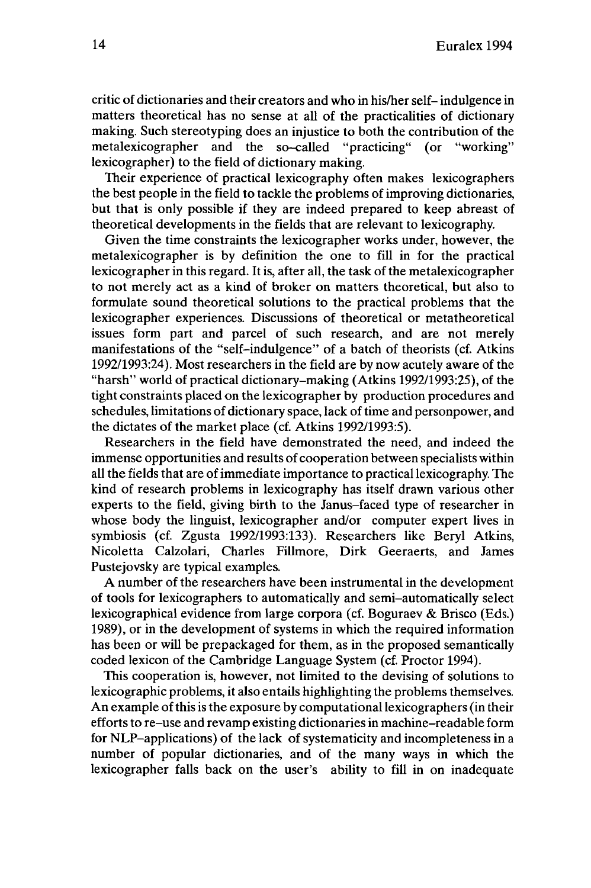critic of dictionaries and their creators and who in his/her self- indulgence in matters theoretical has no sense at all of the practicalities of dictionary making. Such stereotyping does an injustice to both the contribution of the metalexicographer and the so-called "practicing" (or "working" metalexicographer and the so-called lexicographer) to the field of dictionary making.

Their experience of practical lexicography often makes lexicographers the best people in the field to tackle the problems of improving dictionaries, but that is only possible if they are indeed prepared to keep abreast of theoretical developments in the fields that are relevant to lexicography.

Given the time constraints the lexicographer works under, however, the metalexicographer is by definition the one to fill in for the practical lexicographer in this regard. It is, after all, the task of the metalexicographer to not merely act as a kind of broker on matters theoretical, but also to formulate sound theoretical solutions to the practical problems that the lexicographer experiences. Discussions of theoretical or metatheoretical issues form part and parcel of such research, and are not merely manifestations of the "self-indulgence" of a batch of theorists (cf. Atkins 1992/1993:24). Most researchers in the field are by now acutely aware of the "harsh" world of practical dictionary-making (Atkins 1992/1993:25), of the tight constraints placed on the lexicographer by production procedures and schedules, limitations of dictionary space, lack of time and personpower, and the dictates of the market place (cf. Atkins 1992/1993:5).

Researchers in the field have demonstrated the need, and indeed the immense opportunities and results of cooperation between specialists within all the fields that are ofimmediate importance to practicallexicography. The kind of research problems in lexicography has itself drawn various other experts to the field, giving birth to the Janus-faced type of researcher in whose body the linguist, lexicographer and/or computer expert lives in symbiosis (cf. Zgusta 1992/1993:133). Researchers like Beryl Atkins, Nicoletta Calzolari, Charles Fillmore, Dirk Geeraerts, and James Pustejovsky are typical examples.

A number of the researchers have been instrumental in the development of tools for lexicographers to automatically and semi-automatically select lexicographical evidence from large corpora (cf. Boguraev & Brisco (Eds.) 1989), or in the development of systems in which the required information has been or will be prepackaged for them, as in the proposed semantically coded lexicon of the Cambridge Language System (cf. Proctor 1994).

This cooperation is, however, not limited to the devising of solutions to lexicographic problems, it also entails highlighting the problems themselves. An example of this is the exposure by computational lexicographers (in their efforts to re-use and revamp existing dictionaries in machine-readable form for NLP-applications) of the lack of systematicity and incompleteness in a number of popular dictionaries, and of the many ways in which the lexicographer falls back on the user's ability to fill in on inadequate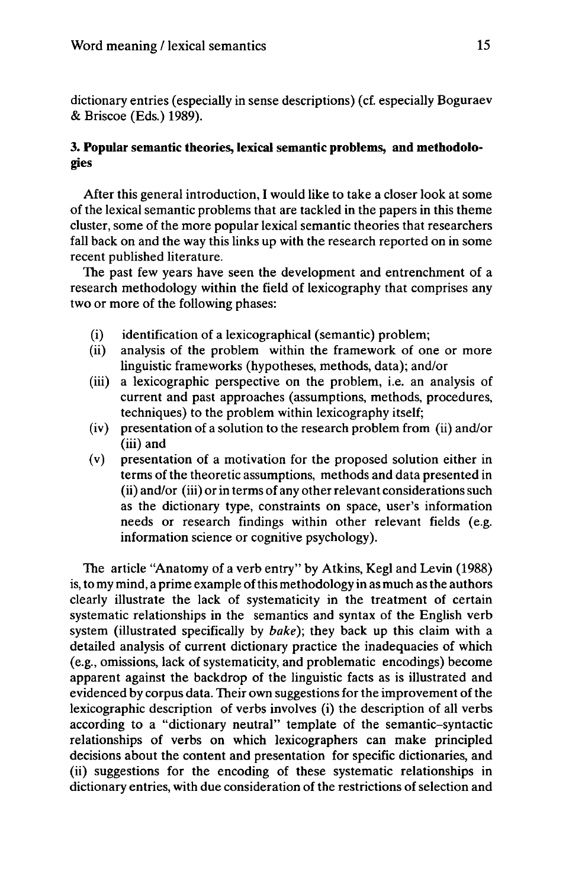dictionary entries (especially in sense descriptions) (cf. especially Boguraev & Briscoe (Eds.) 1989).

## **3. Popular semantic theories, lexical semantic problems, and methodologies**

After this general introduction, I would like to take a closer look at some of the lexical semantic problems that are tackled in the papers in this theme cluster, some of the more popular lexical semantic theories that researchers fall back on and the way this links up with the research reported on in some recent published literature.

The past few years have seen the development and entrenchment of a research methodology within the field of lexicography that comprises any two or more of the following phases:

- (i) identification of a lexicographical (semantic) problem;
- (ii) analysis of the problem within the framework of one or more linguistic frameworks (hypotheses, methods, data); and/or
- (iii) a lexicographic perspective on the problem, i.e. an analysis of current and past approaches (assumptions, methods, procedures, techniques) to the problem within lexicography itself;
- (iv) presentation of a solution to the research problem from (ii) and/or (iii) and
- (v) presentation of a motivation for the proposed solution either in terms of the theoretic assumptions, methods and data presented in (ii) and/or (iii) or in terms of any other relevant considerations such as the dictionary type, constraints on space, user's information needs or research findings within other relevant fields (e.g. information science or cognitive psychology).

The article "Anatomy of a verb entry" by Atkins, Kegl and Levin (1988) is, to my mind, a prime example ofthis methodology in as much as the authors clearly illustrate the lack of systematicity in the treatment of certain systematic relationships in the semantics and syntax of the English verb system (illustrated specifically by *bake);* they back up this claim with a detailed analysis of current dictionary practice the inadequacies of which (e.g., omissions, lack of systematicity, and problematic encodings) become apparent against the backdrop of the linguistic facts as is illustrated and evidenced by corpus data. Their own suggestions for the improvement of the lexicographic description of verbs involves (i) the description of all verbs according to a "dictionary neutral" template of the semantic-syntactic relationships of verbs on which lexicographers can make principled decisions about the content and presentation for specific dictionaries, and (ii) suggestions for the encoding of these systematic relationships in dictionary entries, with due consideration of the restrictions of selection and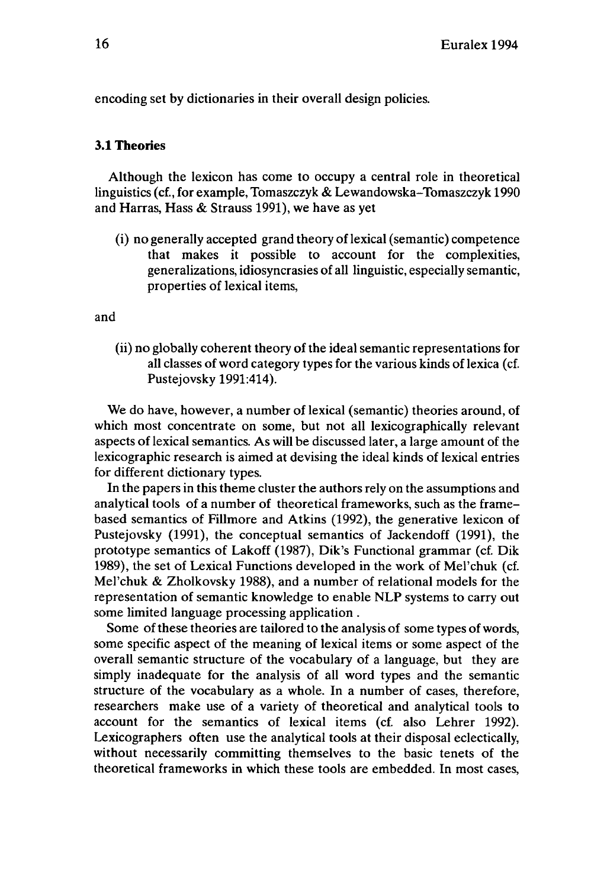encoding set by dictionaries in their overall design policies.

## **3.1 Theories**

Although the lexicon has come to occupy a central role in theoretical linguistics (cf., for example, Tomaszczyk & Lewandowska-Tomaszczyk 1990 and Harras, Hass & Strauss 1991), we have as yet

(i) no generally accepted grand theory of lexical (semantic) competence that makes it possible to account for the complexities, generalizations, idiosyncrasies of all linguistic, especially semantic, properties of lexical items,

and

(ii) no globally coherent theory of the ideal semantic representations for all classes of word category types for the various kinds of lexica (cf. Pustejovsky 1991:414).

We do have, however, a number of lexical (semantic) theories around, of which most concentrate on some, but not all lexicographically relevant aspects of lexical semantics. As will be discussed later, a large amount of the lexicographic research is aimed at devising the ideal kinds of lexical entries for different dictionary types.

In the papers in this theme cluster the authors rely on the assumptions and analytical tools of a number of theoretical frameworks, such as the framebased semantics of Fillmore and Atkins (1992), the generative lexicon of Pustejovsky (1991), the conceptual semantics of Jackendoff (1991), the prototype semantics of Lakoff (1987), Dik's Functional grammar (cf. Dik 1989), the set of Lexical Functions developed in the work of Mel'chuk (cf. Mel'chuk & Zholkovsky 1988), and a number of relational models for the representation of semantic knowledge to enable NLP systems to carry out some limited language processing application .

Some of these theories are tailored to the analysis of some types of words, some specific aspect of the meaning of lexical items or some aspect of the overall semantic structure of the vocabulary of a language, but they are simply inadequate for the analysis of all word types and the semantic structure of the vocabulary as a whole. In a number of cases, therefore, researchers make use of a variety of theoretical and analytical tools to account for the semantics of lexical items (cf. also Lehrer 1992). Lexicographers often use the analytical tools at their disposal eclectically, without necessarily committing themselves to the basic tenets of the theoretical frameworks in which these tools are embedded. In most cases,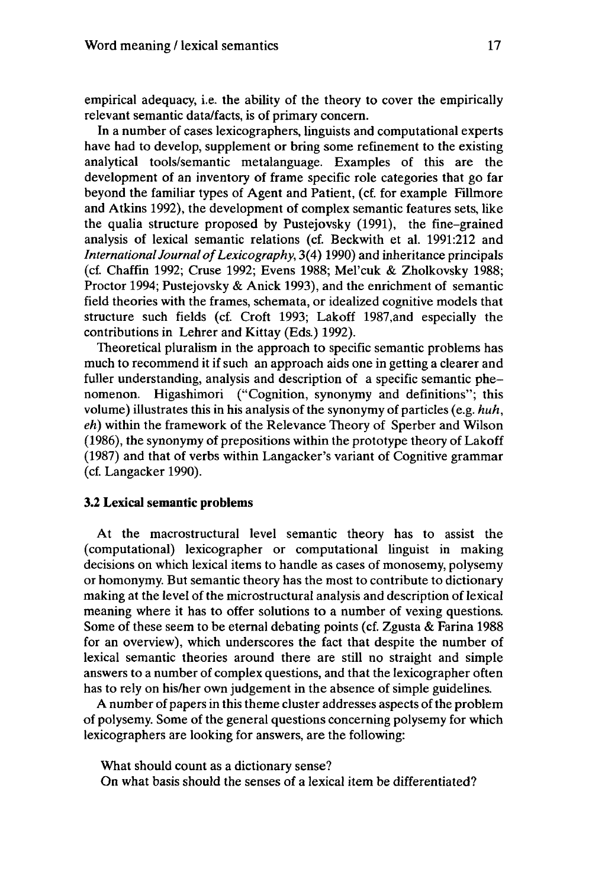empirical adequacy, i.e. the ability of the theory to cover the empirically relevant semantic data/facts, is of primary concern.

In a number of cases lexicographers, linguists and computational experts have had to develop, supplement or bring some refinement to the existing analytical tools/semantic metalanguage. Examples of this are the development of an inventory of frame specific role categories that go far beyond the familiar types of Agent and Patient, (cf. for example Fillmore and Atkins 1992), the development of complex semantic features sets, like the qualia structure proposed by Pustejovsky (1991), the fine-grained analysis of lexical semantic relations (cf. Beckwith et al. 1991:212 and *International Journal of Lexicography,* 3(4) 1990) and inheritance principals (cf. Chaffin 1992; Cruse 1992; Evens 1988; Mel'cuk & Zholkovsky 1988; Proctor 1994; Pustejovsky & Anick 1993), and the enrichment of semantic field theories with the frames, schemata, or idealized cognitive models that structure such fields (cf. Croft 1993; Lakoff 1987,and especially the contributions in Lehrer and Kittay (Eds.) 1992).

Theoretical pluralism in the approach to specific semantic problems has much to recommend it if such an approach aids one in getting a clearer and fuller understanding, analysis and description of a specific semantic phenomenon. Higashimori ("Cognition, synonymy and definitions"; this volume) illustrates this in his analysis of the synonymy of particles (e.g. *huh, eh)* within the framework of the Relevance Theory of Sperber and Wilson (1986), the synonymy of prepositions within the prototype theory of Lakoff (1987) and that of verbs within Langacker's variant of Cognitive grammar (cf. Langacker 1990).

#### **3.2 Lexical semantic problems**

At the macrostructural level semantic theory has to assist the (computational) lexicographer or computational linguist in making decisions on which lexical items to handle as cases of monosemy, polysemy or homonymy. But semantic theory has the mostto contribute to dictionary making at the level of the microstructural analysis and description of lexical meaning where it has to offer solutions to a number of vexing questions. Some of these seem to be eternal debating points (cf. Zgusta & Farina 1988 for an overview), which underscores the fact that despite the number of lexical semantic theories around there are still no straight and simple answers to a number of complex questions, and that the lexicographer often has to rely on his/her own judgement in the absence of simple guidelines.

A number of papers in this theme cluster addresses aspects of the problem of polysemy. Some of the general questions concerning polysemy for which lexicographers are looking for answers, are the following:

What should count as a dictionary sense? On what basis should the senses of a lexical item be differentiated?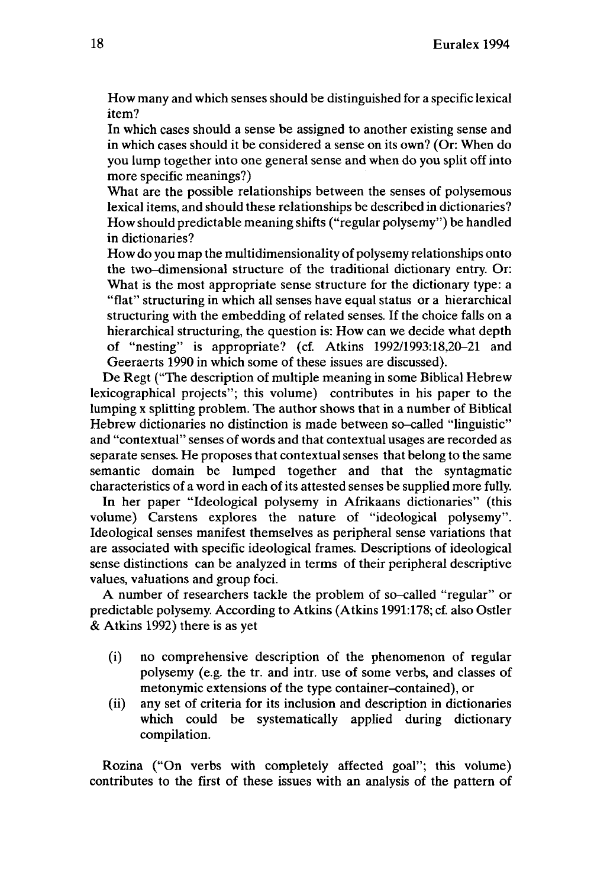How many and which senses should be distinguished for a specific lexical item?

In which cases should a sense be assigned to another existing sense and in which cases should it be considered a sense on its own? (Or: When do you lump together into one general sense and when do you split offinto more specific meanings?)

What are the possible relationships between the senses of polysemous lexical items, and should these relationships be described in dictionaries? How should predictable meaning shifts ("regular polysemy") be handled in dictionaries?

How do you map the multidimensionality of polysemy relationships onto the two-dimensional structure of the traditional dictionary entry. Or: What is the most appropriate sense structure for the dictionary type: a "flat" structuring in which all senses have equal status or a hierarchical structuring with the embedding of related senses. If the choice falls on a hierarchical structuring, the question is: How can we decide what depth of "nesting" is appropriate? (cf. Atkins 1992/1993:18,20-21 and Geeraerts 1990 in which some of these issues are discussed).

De Regt ("The description of multiple meaning in some Biblical Hebrew lexicographical projects"; this volume) contributes in his paper to the lumping x splitting problem. The author shows that in a number of Biblical Hebrew dictionaries no distinction is made between so-called "linguistic" and "contextual" senses ofwords and that contextual usages are recorded as separate senses. He proposes that contextual senses that belong to the same semantic domain be lumped together and that the syntagmatic characteristics of a word in each of its attested senses be supplied more fully.

In her paper "Ideological polysemy in Afrikaans dictionaries" (this volume) Carstens explores the nature of "ideological polysemy". Ideological senses manifest themselves as peripheral sense variations that are associated with specific ideological frames. Descriptions of ideological sense distinctions can be analyzed in terms of their peripheral descriptive values, valuations and group foci.

A number of researchers tackle the problem of so-called "regular" or predictable polysemy. According to Atkins (Atkins 1991:178; cf. also Ostler & Atkins 1992) there is as yet

- (i) no comprehensive description of the phenomenon of regular polysemy (e.g. the tr. and intr. use of some verbs, and classes of metonymic extensions of the type container-contained), or
- (ii) any set of criteria for its inclusion and description in dictionaries which could be systematically applied during dictionary compilation.

Rozina ("On verbs with completely affected goal"; this volume) contributes to the first of these issues with an analysis of the pattern of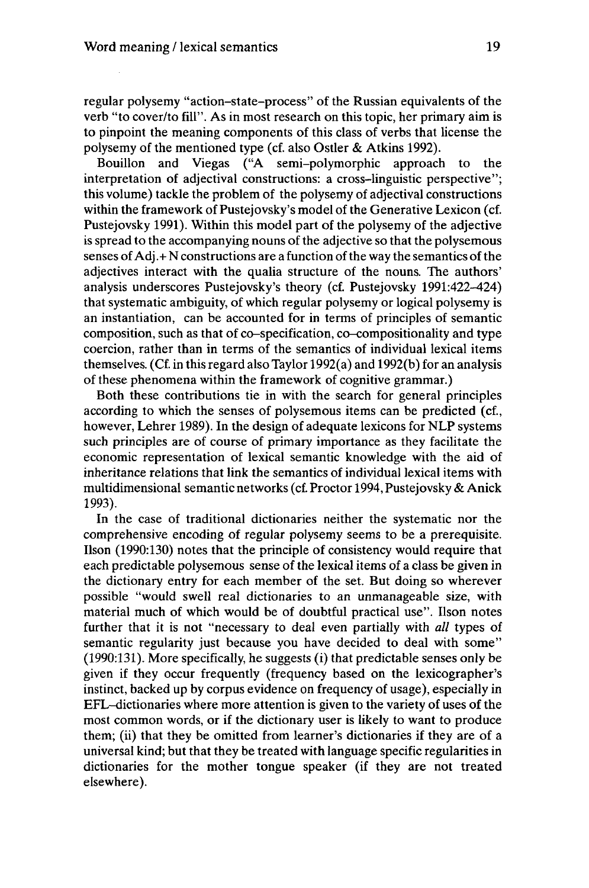regular polysemy "action-state-process" of the Russian equivalents of the verb "to cover/to fill". As in most research on this topic, her primary aim is to pinpoint the meaning components of this class of verbs that license the polysemy of the mentioned type (cf. also Ostler & Atkins 1992).

Bouillon and Viegas ("A semi-polymorphic approach to the interpretation of adjectival constructions: a cross-linguistic perspective"; this volume) tackle the problem of the polysemy of adjectival constructions within the framework of Pustejovsky's model of the Generative Lexicon (cf. Pustejovsky 1991). Within this model part of the polysemy of the adjective is spread to the accompanying nouns of the adjective so that the polysemous senses of  $Adj. + N$  constructions are a function of the way the semantics of the adjectives interact with the qualia structure of the nouns. The authors' analysis underscores Pustejovsky's theory (cf. Pustejovsky 1991:422-424) that systematic ambiguity, of which regular polysemy or logical polysemy is an instantiation, can be accounted for in terms of principles of semantic composition, such as that of co-specification, co-compositionality and type coercion, rather than in terms of the semantics of individual lexical items themselves. (Cf. in thisregard also Taylor 1992(a) and 1992(b) for an analysis of these phenomena within the framework of cognitive grammar.)

Both these contributions tie in with the search for general principles according to which the senses of polysemous items can be predicted (cf., however, Lehrer 1989). In the design of adequate lexicons for NLP systems such principles are of course of primary importance as they facilitate the economic representation of lexical semantic knowledge with the aid of inheritance relations that link the semantics of individual lexical items with multidimensional semantic networks (cf. Proctor 1994, Pustejovsky & Anick 1993).

In the case of traditional dictionaries neither the systematic nor the comprehensive encoding of regular polysemy seems to be a prerequisite. Ilson (1990:130) notes that the principle of consistency would require that each predictable polysemous sense of the lexical items of a class be given in the dictionary entry for each member of the set. But doing so wherever possible "would swell real dictionaries to an unmanageable size, with material much of which would be of doubtful practical use". Ilson notes further that it is not "necessary to deal even partially with *all* types of semantic regularity just because you have decided to deal with some" (1990:131). More specifically, he suggests (i) that predictable senses only be given if they occur frequently (frequency based on the lexicographer's instinct, backed up by corpus evidence on frequency of usage), especially in EFL-dictionaries where more attention is given to the variety of uses of the most common words, or if the dictionary user is likely to want to produce them; (ii) that they be omitted from learner's dictionaries if they are of a universal kind; butthat they be treated with language specific regularities in dictionaries for the mother tongue speaker (if they are not treated elsewhere).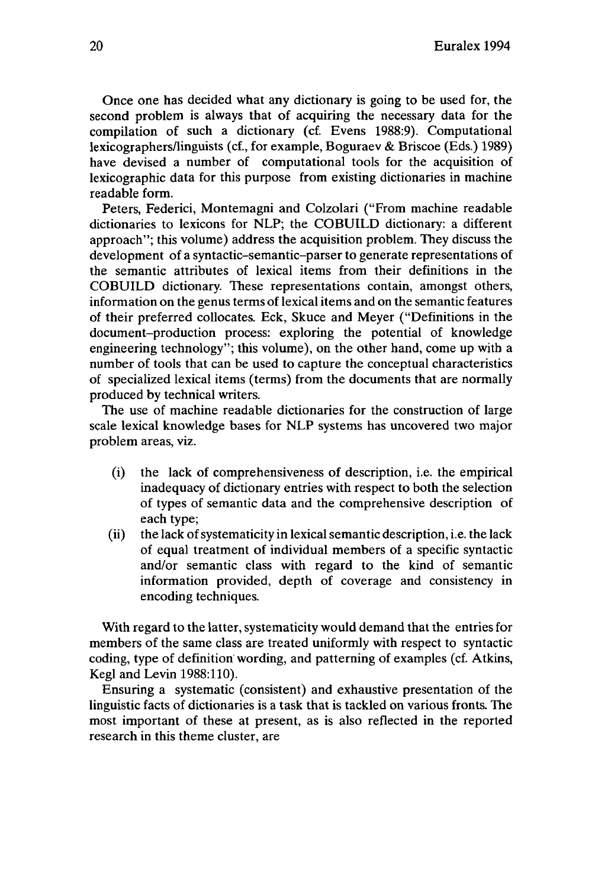Once one has decided what any dictionary is going to be used for, the second problem is always that of acquiring the necessary data for the compilation of such a dictionary (cf. Evens 1988:9). Computational lexicographers/linguists (cf., for example, Boguraev & Briscoe (Eds.) 1989) have devised a number of computational tools for the acquisition of lexicographic data for this purpose from existing dictionaries in machine readable form.

Peters, Federici, Montemagni and Colzolari ("From machine readable dictionaries to lexicons for NLP; the COBUILD dictionary: a different approach"; this volume) address the acquisition problem. They discuss the development of a syntactic-semantic-parser to generate representations of the semantic attributes of lexical items from their definitions in the COBUILD dictionary. These representations contain, amongst others, information on the genus terms of lexical items and on the semantic features of their preferred collocates. Eck, Skuce and Meyer ("Definitions in the document-production process: exploring the potential of knowledge engineering technology"; this volume), on the other hand, come up with a number of tools that can be used to capture the conceptual characteristics of specialized lexical items (terms) from the documents that are normally produced by technical writers.

The use of machine readable dictionaries for the construction of large scale lexical knowledge bases for NLP systems has uncovered two major problem areas, viz.

- (i) the lack of comprehensiveness of description, i.e. the empirical inadequacy of dictionary entries with respect to both the selection of types of semantic data and the comprehensive description of each type;
- $(ii)$  the lack of systematicity in lexical semantic description, i.e. the lack of equal treatment of individual members of a specific syntactic and/or semantic class with regard to the kind of semantic information provided, depth of coverage and consistency in encoding techniques.

With regard to the latter, systematicity would demand that the entries for members of the same class are treated uniformly with respect to syntactic coding, type of definition wording, and patterning of examples (cf. Atkins, Kegl and Levin 1988:110).

Ensuring a systematic (consistent) and exhaustive presentation of the linguistic facts of dictionaries is a task that is tackled on various fronts. The most important of these at present, as is also reflected in the reported research in this theme cluster, are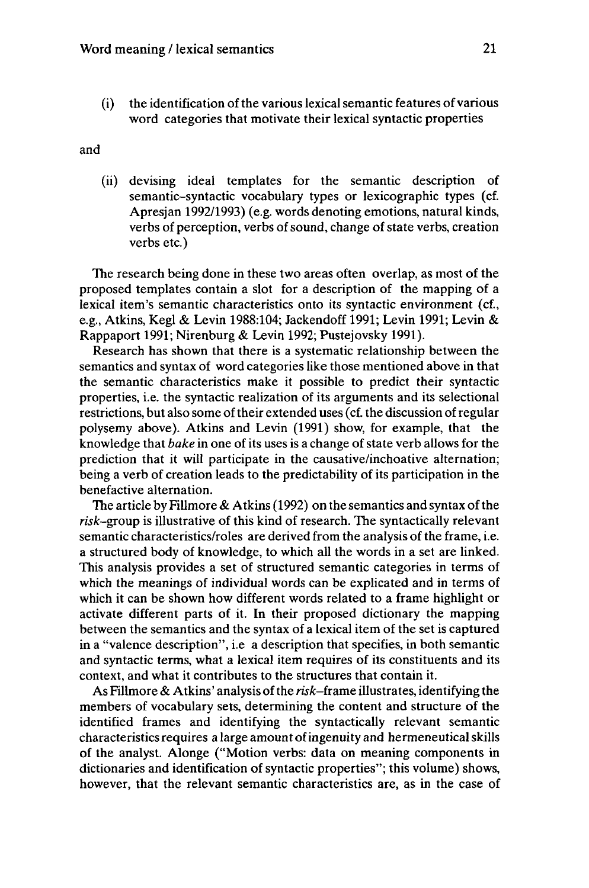$(i)$  the identification of the various lexical semantic features of various word categories that motivate their lexical syntactic properties

and

(ii) devising ideal templates for the semantic description of semantic-syntactic vocabulary types or lexicographic types (cf. Apresjan 1992/1993) (e.g. words denoting emotions, natural kinds, verbs of perception, verbs of sound, change of state verbs, creation verbs etc.)

The research being done in these two areas often overlap, as most of the proposed templates contain a slot for a description of the mapping of a lexical item's semantic characteristics onto its syntactic environment (cf., e.g., Atkins, Kegl & Levin 1988:104; Jackendoff 1991; Levin 1991; Levin & Rappaport 1991; Nirenburg & Levin 1992; Pustejovsky 1991).

Research has shown that there is a systematic relationship between the semantics and syntax of word categories like those mentioned above in that the semantic characteristics make it possible to predict their syntactic properties, i.e. the syntactic realization of its arguments and its selectional restrictions, but also some of their extended uses (cf. the discussion of regular polysemy above). Atkins and Levin (1991) show, for example, that the knowledge that *bake* in one of its uses is a change of state verb allows for the prediction that it will participate in the causative/inchoative alternation; being a verb of creation leads to the predictability of its participation in the benefactive alternation.

The article by Fillmore  $\&$  Atkins (1992) on the semantics and syntax of the *risk-group* is illustrative of this kind of research. The syntactically relevant semantic characteristics/roles are derived from the analysis of the frame, i.e. a structured body of knowledge, to which all the words in a set are linked. This analysis provides a set of structured semantic categories in terms of which the meanings of individual words can be explicated and in terms of which it can be shown how different words related to a frame highlight or activate different parts of it. In their proposed dictionary the mapping between the semantics and the syntax of a lexical item of the set is captured in a "valence description", i.e a description that specifies, in both semantic and syntactic terms, what a lexical item requires of its constituents and its context, and what it contributes to the structures that contain it.

As Fillmore & Atkins' analysis of the risk–frame illustrates, identifying the members of vocabulary sets, determining the content and structure of the identified frames and identifying the syntactically relevant semantic characteristicsrequires a large amount ofingenuity and hermeneuticalskills of the analyst. Alonge ("Motion verbs: data on meaning components in dictionaries and identification of syntactic properties"; this volume) shows, however, that the relevant semantic characteristics are, as in the case of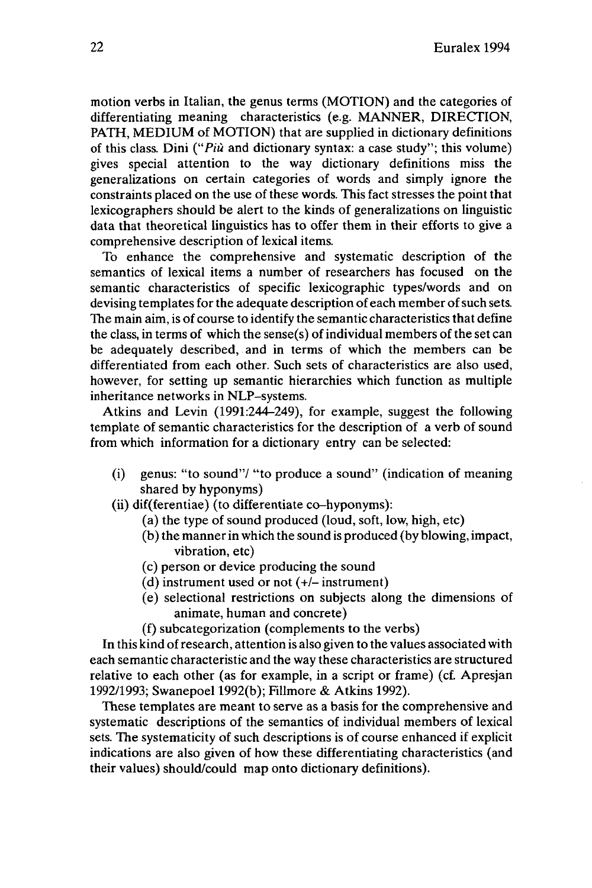motion verbs in Italian, the genus terms (MOTION) and the categories of differentiating meaning characteristics (e.g. MANNER, DIRECTION, PATH, MEDIUM of MOTION) that are supplied in dictionary definitions of this class. Dini *("Più* and dictionary syntax: a case study"; this volume) gives special attention to the way dictionary definitions miss the generalizations on certain categories of words and simply ignore the constraints placed on the use of these words. This fact stresses the point that lexicographers should be alert to the kinds of generalizations on linguistic data that theoretical linguistics has to offer them in their efforts to give a comprehensive description of lexical items.

To enhance the comprehensive and systematic description of the semantics of lexical items a number of researchers has focused on the semantic characteristics of specific lexicographic types/words and on devising templates for the adequate description of each member of such sets. The main aim, is of course to identify the semantic characteristics that define the class, in terms of which the sense $(s)$  of individual members of the set can be adequately described, and in terms of which the members can be differentiated from each other. Such sets of characteristics are also used, however, for setting up semantic hierarchies which function as multiple inheritance networks in NLP-systems.

Atkins and Levin (1991:244-249), for example, suggest the following template of semantic characteristics for the description of a verb of sound from which information for a dictionary entry can be selected:

- (i) genus: "to sound"/ "to produce a sound" (indication of meaning shared by hyponyms)
- (ii) dif(ferentiae) (to differentiate co-hyponyms):
	- (a) the type of sound produced (loud, soft, low, high, etc)
	- (b) the mannerin which the sound is produced (by blowing, impact, vibration, etc)
	- (c) person or device producing the sound
	- (d) instrument used or not  $(+/-$  instrument)
	- (e) selectional restrictions on subjects along the dimensions of animate, human and concrete)
	- (f) subcategorization (complements to the verbs)

In this kind ofresearch, attention is also given to the values associated with each semantic characteristic and the way these characteristics are structured relative to each other (as for example, in a script or frame) (cf. Apresjan 1992/1993; Swanepoel 1992(b); Fillmore & Atkins 1992).

These templates are meant to serve as a basis for the comprehensive and systematic descriptions of the semantics of individual members of lexical sets. The systematicity of such descriptions is of course enhanced if explicit indications are also given of how these differentiating characteristics (and their values) should/could map onto dictionary definitions).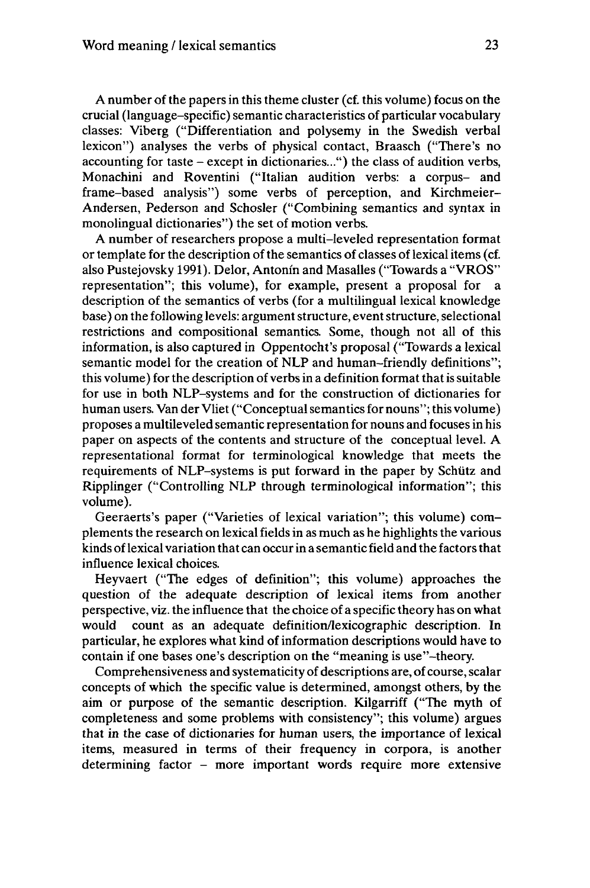A number of the papers in this theme cluster (cf. this volume) focus on the crucial (language-specific) semantic characteristics of particular vocabulary classes: Viberg ("Differentiation and polysemy in the Swedish verbal lexicon") analyses the verbs of physical contact, Braasch ("There's no accounting for taste - except in dictionaries...") the class of audition verbs, Monachini and Roventini ("Italian audition verbs: a corpus- and frame-based analysis") some verbs of perception, and Kirchmeier-Andersen, Pederson and Schosler ("Combining semantics and syntax in monolingual dictionaries") the set of motion verbs.

A number of researchers propose a multi-leveled representation format or template for the description of the semantics of classes of lexical items (cf. also Pustejovsky 1991). Delor, Antonín and Masalles ("Towards a "VROS" representation"; this volume), for example, present a proposal for a description of the semantics of verbs (for a multilingual lexical knowledge base) on the following levels: argument structure, event structure, selectional restrictions and compositional semantics. Some, though not all of this information, is also captured in Oppentocht's proposal ("Towards a lexical semantic model for the creation of NLP and human-friendly definitions"; this volume) for the description of verbs in a definition format that is suitable for use in both NLP-systems and for the construction of dictionaries for human users. Van der Vliet ("Conceptual semantics for nouns"; this volume) proposes a multileveled semantic representation for nouns and focusesin his paper on aspects of the contents and structure of the conceptual level. A representational format for terminological knowledge that meets the requirements of NLP-systems is put forward in the paper by Schütz and Ripplinger ("Controlling NLP through terminological information"; this volume).

Geeraerts's paper ("Varieties of lexical variation"; this volume) complements the research on lexical fields in as much as he highlights the various kinds of lexical variation that can occur in a semantic field and the factors that influence lexical choices.

Heyvaert ("The edges of definition"; this volume) approaches the question of the adequate description of lexical items from another perspective, viz. the influence that the choice of a specific theory has on what would count as an adequate definition/lexicographic description. In particular, he explores what kind of information descriptions would have to contain if one bases one's description on the "meaning is use"-theory.

Comprehensiveness and systematicity of descriptions are, of course, scalar concepts of which the specific value is determined, amongst others, by the aim or purpose of the semantic description. Kilgarriff ("The myth of completeness and some problems with consistency"; this volume) argues that in the case of dictionaries for human users, the importance of lexical items, measured in terms of their frequency in corpora, is another determining factor - more important words require more extensive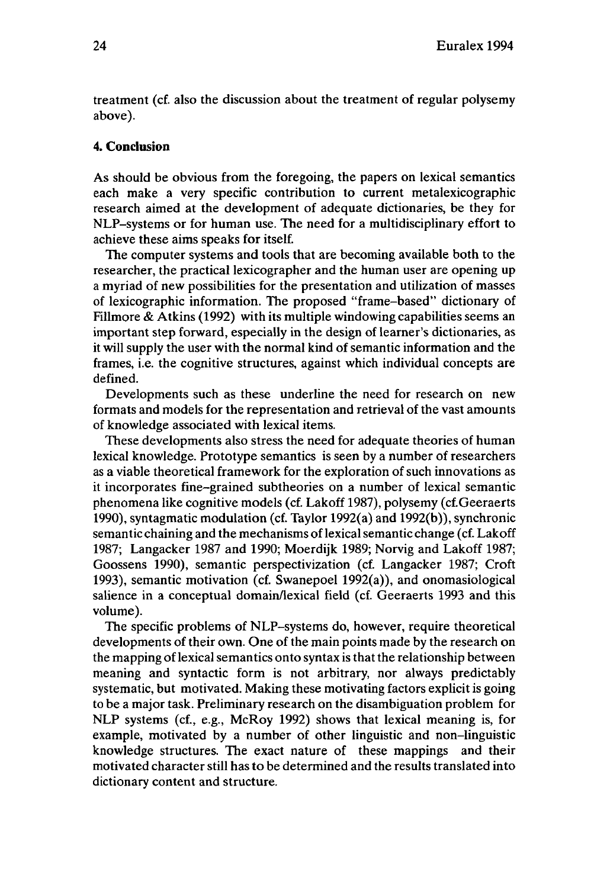treatment (cf. also the discussion about the treatment of regular polysemy above).

#### **4. Conclusion**

As should be obvious from the foregoing, the papers on lexical semantics each make a very specific contribution to current metalexicographic research aimed at the development of adequate dictionaries, be they for NLP-systems or for human use. The need for a multidisciplinary effort to achieve these aims speaks for itself.

The computer systems and tools that are becoming available both to the researcher, the practical lexicographer and the human user are opening up a myriad of new possibilities for the presentation and utilization of masses of lexicographic information. The proposed "frame-based" dictionary of Fillmore & Atkins (1992) with its multiple windowing capabilities seems an important step forward, especially in the design of learner's dictionaries, as it will supply the user with the normal kind of semantic information and the frames, i.e. the cognitive structures, against which individual concepts are defined.

Developments such as these underline the need for research on new formats and models for the representation and retrieval of the vast amounts of knowledge associated with lexical items.

These developments also stress the need for adequate theories of human lexical knowledge. Prototype semantics is seen by a number of researchers as a viable theoretical framework for the exploration of such innovations as it incorporates fine-grained subtheories on a number of lexical semantic phenomena like cognitive models (cf. Lakoff 1987), polysemy (cf. Geeraerts 1990), syntagmatic modulation (cf. Taylor 1992(a) and 1992(b)), synchronic semantic chaining and the mechanisms of lexical semantic change (cf. Lakoff 1987; Langacker 1987 and 1990; Moerdijk 1989; Norvig and Lakoff 1987; Goossens 1990), semantic perspectivization (cf. Langacker 1987; Croft 1993), semantic motivation (cf. Swanepoel 1992(a)), and onomasiological salience in a conceptual domain/lexical field (cf. Geeraerts 1993 and this volume).

The specific problems of NLP-systems do, however, require theoretical developments of their own. One of the main points made by the research on the mapping of lexical semantics onto syntax is that the relationship between meaning and syntactic form is not arbitrary, nor always predictably systematic, but motivated. Making these motivating factors explicit is going to be a major task. Preliminary research on the disambiguation problem for NLP systems (cf., e.g., McRoy 1992) shows that lexical meaning is, for example, motivated by a number of other linguistic and non-linguistic knowledge structures. The exact nature of these mappings and their motivated character still has to be determined and the results translated into dictionary content and structure.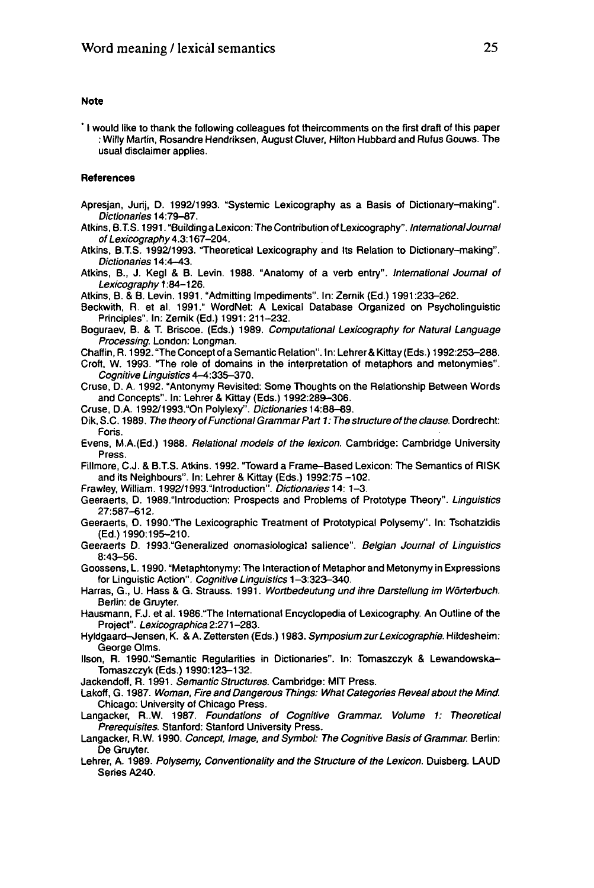#### **Note**

' <sup>I</sup> would like to thank the following colleagues fot theircomments on the first draft of this paper : Willy Martin, Rosandre Hendriksen, August Cluver, Hilton Hubbard and Rufus Gouws. The usual disclaimer applies.

#### **References**

- Apresjan, Jurij, D. 1992/1993. "Systemic Lexicography as a Basis of Dictionary-making". Dictionaries 14:79-87.
- Atkins, B.T.S. 1991. "Building a Lexicon: The Contribution of Lexicography". InternationalJoumal of Lexicography 4.3:167-204.
- Atkins, B.T.S. 1992/1993. Theoretical Lexicography and Its Relation to Dictionary-making". Dictionaries 14:4•43.
- Atkins, B., J. Kegl & B. Levin. 1988. "Anatomy of a verb entry". International Journal of Lexicography 1:84-126.
- Atkins, B. & B. Levin. 1991. "Admitting Impediments". In: Zernik (Ed.) 1991:233-262.
- Beckwith, R. et al. 1991." WordNet: A Lexical Database Organized on Psycholinguistic Principles". In: Zernik (Ed.) 1991: 211-232.
- Boguraev, B. & T. Briscoe. (Eds.) 1989. Computational Lexicography for Natural Language Processing. London: Longman.
- Chaffin, R. 1992. "The Concept of a Semantic Relation". In: Lehrer& Kittay (Eds.) 1992:253-288.
- Croft, W. 1993. "The role of domains in the interpretation of metaphors and metonymies". Cognitive Linguistics 4-4:335-370.
- Cruse, D. A. 1992. "Antonymy Revisited: Some Thoughts on the Relationship Between Words and Concepts". In: Lehrer & Kittay (Eds.) 1992:289-306.
- Cruse, D.A. 1992/1993."On Polylexy". Dictionaries 14:88-89.
- Dik, S.C. 1989. The theory of Functional Grammar Part 1: The structure of the clause. Dordrecht: Foris.
- Evens, M.A.(Ed.) 1988. Relational models of the lexicon. Cambridge: Cambridge University Press.
- Fillmore, C.J. & B.T.S. Atkins. 1992. "Toward a Frame-Based Lexicon: The Semantics of RISK and its Neighbours". In: Lehrer & Kittay (Eds.) 1992:75 -102.
- Frawley, William. 1992/1993."lntroduction". Dictionaries 14: 1-3.
- Geeraerts, D. 1989."lntroduction: Prospects and Problems of Prototype Theory". Linguistics 27:587-612.
- Geeraerts, D. 1990. "The Lexicographic Treatment of Prototypical Polysemy". In: Tsohatzidis (Ed.) 1990:195-210.
- Geeraerts D. 1993."Generalized onomasiological salience". Belgian Journal of Linguistics 8:43-56.
- Goossens, L. 1990. "Metaphtonymy: The Interaction of Metaphor and Metonymy in Expressions for Linguistic Action". Cognitive Linguistics 1-3:323-340.
- Harras, G., U. Hass & G. Strauss. 1991. Wortbedeutung und ihre Darstellung im Wörterbuch. Berlin: de Gruyter.
- Hausmann, F.J. et al. 1986."The International Encyclopedia of Lexicography. An Outline of the Project". Lexicographica 2:271-283.
- Hyldgaard-Jensen, K. & A. Zettersten (Eds.) 1983. Symposium zur Lexicographie. Hildesheim: George Olms.
- Ilson, R. 1990."Semantic Regularities in Dictionaries". In: Tomaszczyk & Lewandowska-Tomaszczyk (Eds.) 1990:123-132.
- Jackendoff, R. 1991. Semantic Structures. Cambridge: MIT Press.
- Lakoff, G. 1987. Woman, Fire and Dangerous Things: What Categories Reveal about the Mind. Chicago: University of Chicago Press.
- Langacker, R..W. 1987. Foundations of Cognitive Grammar. Volume 1: Theoretical Prerequisites. Stanford: Stanford University Press.
- Langacker, R.W. 1990. Concept, Image, and Symbol: The Cognitive Basis of Grammar. Berlin: De Gruyter.
- Lehrer, A. 1989. Polysemy, Conventionality and the Structure of the Lexicon. Duisberg. LAUD Series A240.